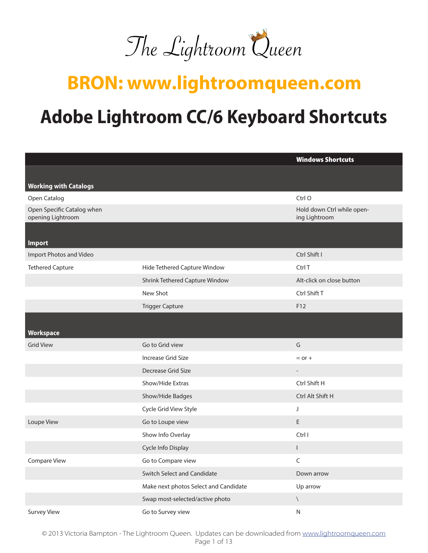

## **BRON: www.lightroomqueen.com**

# **Adobe Lightroom CC/6 Keyboard Shortcuts**

|                                                 |                                       | <b>Windows Shortcuts</b>                    |
|-------------------------------------------------|---------------------------------------|---------------------------------------------|
|                                                 |                                       |                                             |
| <b>Working with Catalogs</b>                    |                                       |                                             |
| Open Catalog                                    |                                       | Ctrl O                                      |
| Open Specific Catalog when<br>opening Lightroom |                                       | Hold down Ctrl while open-<br>ing Lightroom |
| <b>Import</b>                                   |                                       |                                             |
| Import Photos and Video                         |                                       | Ctrl Shift I                                |
| <b>Tethered Capture</b>                         | Hide Tethered Capture Window          | Ctrl T                                      |
|                                                 | Shrink Tethered Capture Window        | Alt-click on close button                   |
|                                                 | New Shot                              | Ctrl Shift T                                |
|                                                 | <b>Trigger Capture</b>                | F12                                         |
|                                                 |                                       |                                             |
| Workspace                                       |                                       |                                             |
| <b>Grid View</b>                                | Go to Grid view                       | G                                           |
|                                                 | <b>Increase Grid Size</b>             | $=$ or $+$                                  |
|                                                 | Decrease Grid Size                    | $\overline{\phantom{0}}$                    |
|                                                 | Show/Hide Extras                      | Ctrl Shift H                                |
|                                                 | Show/Hide Badges                      | Ctrl Alt Shift H                            |
|                                                 | Cycle Grid View Style                 | J                                           |
| Loupe View                                      | Go to Loupe view                      | E                                           |
|                                                 | Show Info Overlay                     | Ctrl I                                      |
|                                                 | Cycle Info Display                    | L                                           |
| Compare View                                    | Go to Compare view                    | C                                           |
|                                                 | Switch Select and Candidate           | Down arrow                                  |
|                                                 | Make next photos Select and Candidate | Up arrow                                    |
|                                                 | Swap most-selected/active photo       | $\setminus$                                 |
| <b>Survey View</b>                              | Go to Survey view                     | N                                           |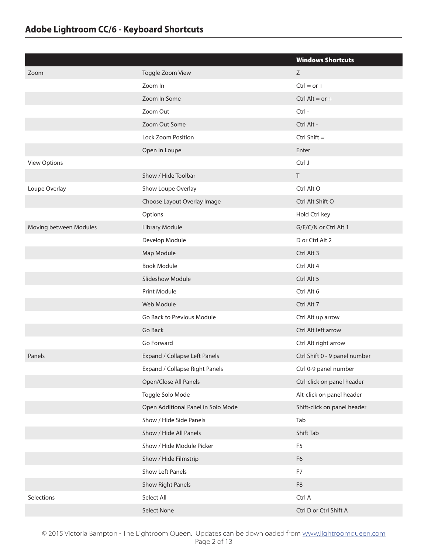|                        |                                    | <b>Windows Shortcuts</b>      |
|------------------------|------------------------------------|-------------------------------|
| Zoom                   | Toggle Zoom View                   | Z                             |
|                        | Zoom In                            | $Ctrl = or +$                 |
|                        | Zoom In Some                       | Ctrl Alt = $or +$             |
|                        | Zoom Out                           | Ctrl-                         |
|                        | Zoom Out Some                      | Ctrl Alt -                    |
|                        | Lock Zoom Position                 | Ctrl Shift $=$                |
|                        | Open in Loupe                      | Enter                         |
| <b>View Options</b>    |                                    | Ctrl J                        |
|                        | Show / Hide Toolbar                | $\top$                        |
| Loupe Overlay          | Show Loupe Overlay                 | Ctrl Alt O                    |
|                        | Choose Layout Overlay Image        | Ctrl Alt Shift O              |
|                        | Options                            | Hold Ctrl key                 |
| Moving between Modules | Library Module                     | G/E/C/N or Ctrl Alt 1         |
|                        | Develop Module                     | D or Ctrl Alt 2               |
|                        | Map Module                         | Ctrl Alt 3                    |
|                        | <b>Book Module</b>                 | Ctrl Alt 4                    |
|                        | <b>Slideshow Module</b>            | Ctrl Alt 5                    |
|                        | Print Module                       | Ctrl Alt 6                    |
|                        | Web Module                         | Ctrl Alt 7                    |
|                        | Go Back to Previous Module         | Ctrl Alt up arrow             |
|                        | Go Back                            | Ctrl Alt left arrow           |
|                        | Go Forward                         | Ctrl Alt right arrow          |
| Panels                 | Expand / Collapse Left Panels      | Ctrl Shift 0 - 9 panel number |
|                        | Expand / Collapse Right Panels     | Ctrl 0-9 panel number         |
|                        | Open/Close All Panels              | Ctrl-click on panel header    |
|                        | Toggle Solo Mode                   | Alt-click on panel header     |
|                        | Open Additional Panel in Solo Mode | Shift-click on panel header   |
|                        | Show / Hide Side Panels            | Tab                           |
|                        | Show / Hide All Panels             | Shift Tab                     |
|                        | Show / Hide Module Picker          | F <sub>5</sub>                |
|                        | Show / Hide Filmstrip              | F <sub>6</sub>                |
|                        | Show Left Panels                   | F7                            |
|                        | <b>Show Right Panels</b>           | F8                            |
| Selections             | Select All                         | Ctrl A                        |
|                        | Select None                        | Ctrl D or Ctrl Shift A        |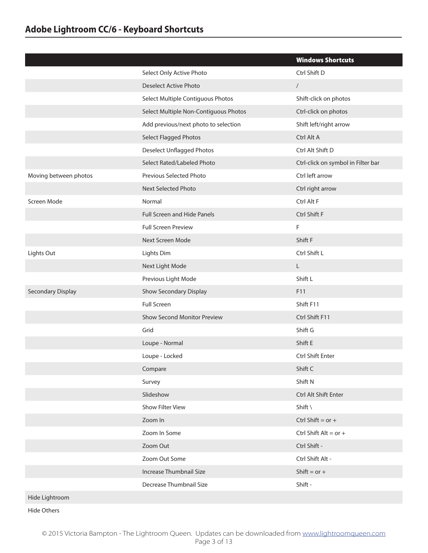|                       |                                       | <b>Windows Shortcuts</b>           |
|-----------------------|---------------------------------------|------------------------------------|
|                       | Select Only Active Photo              | Ctrl Shift D                       |
|                       | <b>Deselect Active Photo</b>          | $\sqrt{\phantom{a}}$               |
|                       | Select Multiple Contiguous Photos     | Shift-click on photos              |
|                       | Select Multiple Non-Contiguous Photos | Ctrl-click on photos               |
|                       | Add previous/next photo to selection  | Shift left/right arrow             |
|                       | Select Flagged Photos                 | Ctrl Alt A                         |
|                       | <b>Deselect Unflagged Photos</b>      | Ctrl Alt Shift D                   |
|                       | Select Rated/Labeled Photo            | Ctrl-click on symbol in Filter bar |
| Moving between photos | Previous Selected Photo               | Ctrl left arrow                    |
|                       | Next Selected Photo                   | Ctrl right arrow                   |
| Screen Mode           | Normal                                | Ctrl Alt F                         |
|                       | <b>Full Screen and Hide Panels</b>    | Ctrl Shift F                       |
|                       | <b>Full Screen Preview</b>            | F                                  |
|                       | Next Screen Mode                      | Shift F                            |
| Lights Out            | Lights Dim                            | Ctrl Shift L                       |
|                       | Next Light Mode                       | $\mathsf{L}$                       |
|                       | Previous Light Mode                   | Shift L                            |
| Secondary Display     | Show Secondary Display                | F11                                |
|                       | <b>Full Screen</b>                    | Shift F11                          |
|                       | Show Second Monitor Preview           | Ctrl Shift F11                     |
|                       | Grid                                  | Shift G                            |
|                       | Loupe - Normal                        | Shift E                            |
|                       | Loupe - Locked                        | Ctrl Shift Enter                   |
|                       | Compare                               | Shift C                            |
|                       | Survey                                | Shift N                            |
|                       | Slideshow                             | Ctrl Alt Shift Enter               |
|                       | Show Filter View                      | Shift \                            |
|                       | Zoom In                               | Ctrl Shift = $or +$                |
|                       | Zoom In Some                          | Ctrl Shift Alt = $or +$            |
|                       | Zoom Out                              | Ctrl Shift -                       |
|                       | Zoom Out Some                         | Ctrl Shift Alt -                   |
|                       | Increase Thumbnail Size               | Shift = $or +$                     |
|                       | Decrease Thumbnail Size               | Shift -                            |
| Hide Lightroom        |                                       |                                    |

Hide Others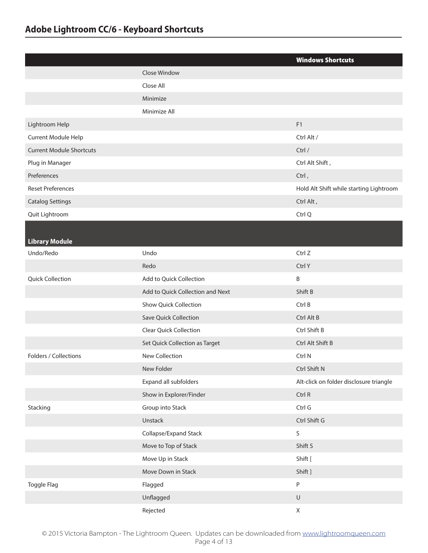|                                 |                                  | <b>Windows Shortcuts</b>                |
|---------------------------------|----------------------------------|-----------------------------------------|
|                                 | Close Window                     |                                         |
|                                 | Close All                        |                                         |
|                                 | Minimize                         |                                         |
|                                 | Minimize All                     |                                         |
| Lightroom Help                  |                                  | F1                                      |
| Current Module Help             |                                  | Ctrl Alt /                              |
| <b>Current Module Shortcuts</b> |                                  | Ctrl /                                  |
| Plug in Manager                 |                                  | Ctrl Alt Shift,                         |
| Preferences                     |                                  | Ctrl,                                   |
| <b>Reset Preferences</b>        |                                  | Hold Alt Shift while starting Lightroom |
| <b>Catalog Settings</b>         |                                  | Ctrl Alt,                               |
| Quit Lightroom                  |                                  | Ctrl Q                                  |
| <b>Library Module</b>           |                                  |                                         |
| Undo/Redo                       | Undo                             | Ctrl Z                                  |
|                                 | Redo                             | Ctrl Y                                  |
| <b>Quick Collection</b>         | Add to Quick Collection          | $\sf B$                                 |
|                                 | Add to Quick Collection and Next | Shift B                                 |
|                                 | Show Quick Collection            | Ctrl B                                  |
|                                 | Save Quick Collection            | Ctrl Alt B                              |
|                                 | <b>Clear Quick Collection</b>    | Ctrl Shift B                            |
|                                 | Set Quick Collection as Target   | Ctrl Alt Shift B                        |
| Folders / Collections           | <b>New Collection</b>            | Ctrl N                                  |
|                                 | New Folder                       | Ctrl Shift N                            |
|                                 | Expand all subfolders            | Alt-click on folder disclosure triangle |
|                                 | Show in Explorer/Finder          | Ctrl R                                  |
| Stacking                        | Group into Stack                 | Ctrl G                                  |
|                                 | Unstack                          | Ctrl Shift G                            |
|                                 | Collapse/Expand Stack            | S                                       |
|                                 | Move to Top of Stack             | Shift S                                 |
|                                 | Move Up in Stack                 | Shift [                                 |
|                                 | Move Down in Stack               | Shift ]                                 |
| Toggle Flag                     | Flagged                          | ${\sf P}$                               |
|                                 | Unflagged                        | $\sf U$                                 |
|                                 | Rejected                         | $\mathsf X$                             |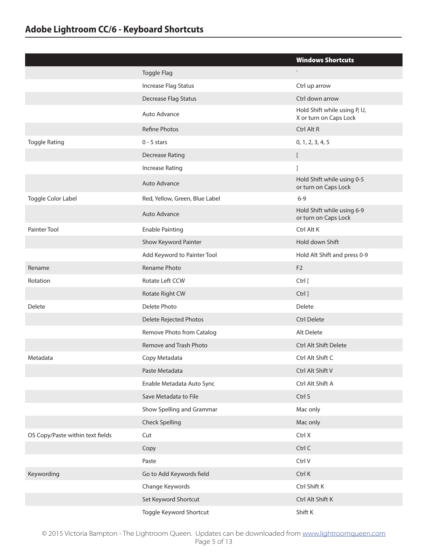|                                  |                                | <b>Windows Shortcuts</b>                               |
|----------------------------------|--------------------------------|--------------------------------------------------------|
|                                  | Toggle Flag                    |                                                        |
|                                  | Increase Flag Status           | Ctrl up arrow                                          |
|                                  | Decrease Flag Status           | Ctrl down arrow                                        |
|                                  | Auto Advance                   | Hold Shift while using P, U,<br>X or turn on Caps Lock |
|                                  | Refine Photos                  | Ctrl Alt R                                             |
| <b>Toggle Rating</b>             | $0 - 5$ stars                  | 0, 1, 2, 3, 4, 5                                       |
|                                  | <b>Decrease Rating</b>         | $\mathbf{r}$                                           |
|                                  | <b>Increase Rating</b>         | 1                                                      |
|                                  | Auto Advance                   | Hold Shift while using 0-5<br>or turn on Caps Lock     |
| Toggle Color Label               | Red, Yellow, Green, Blue Label | $6 - 9$                                                |
|                                  | Auto Advance                   | Hold Shift while using 6-9<br>or turn on Caps Lock     |
| <b>Painter Tool</b>              | <b>Enable Painting</b>         | Ctrl Alt K                                             |
|                                  | Show Keyword Painter           | Hold down Shift                                        |
|                                  | Add Keyword to Painter Tool    | Hold Alt Shift and press 0-9                           |
| Rename                           | Rename Photo                   | F <sub>2</sub>                                         |
| Rotation                         | Rotate Left CCW                | Ctrl [                                                 |
|                                  | Rotate Right CW                | Ctrl ]                                                 |
| Delete                           | Delete Photo                   | <b>Delete</b>                                          |
|                                  | Delete Rejected Photos         | <b>Ctrl Delete</b>                                     |
|                                  | Remove Photo from Catalog      | Alt Delete                                             |
|                                  | Remove and Trash Photo         | <b>Ctrl Alt Shift Delete</b>                           |
| Metadata                         | Copy Metadata                  | Ctrl Alt Shift C                                       |
|                                  | Paste Metadata                 | Ctrl Alt Shift V                                       |
|                                  | Enable Metadata Auto Sync      | Ctrl Alt Shift A                                       |
|                                  | Save Metadata to File          | Ctrl S                                                 |
|                                  | Show Spelling and Grammar      | Mac only                                               |
|                                  | <b>Check Spelling</b>          | Mac only                                               |
| OS Copy/Paste within text fields | Cut                            | Ctrl X                                                 |
|                                  | Copy                           | Ctrl C                                                 |
|                                  | Paste                          | Ctrl V                                                 |
| Keywording                       | Go to Add Keywords field       | Ctrl K                                                 |
|                                  | Change Keywords                | Ctrl Shift K                                           |
|                                  | Set Keyword Shortcut           | Ctrl Alt Shift K                                       |
|                                  | Toggle Keyword Shortcut        | Shift K                                                |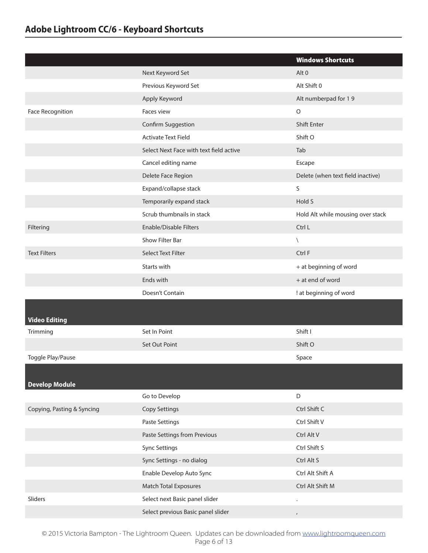|                            |                                         | <b>Windows Shortcuts</b>          |
|----------------------------|-----------------------------------------|-----------------------------------|
|                            | Next Keyword Set                        | Alt <sub>0</sub>                  |
|                            | Previous Keyword Set                    | Alt Shift 0                       |
|                            | Apply Keyword                           | Alt numberpad for 19              |
| Face Recognition           | Faces view                              | $\circ$                           |
|                            | Confirm Suggestion                      | <b>Shift Enter</b>                |
|                            | <b>Activate Text Field</b>              | Shift O                           |
|                            | Select Next Face with text field active | Tab                               |
|                            | Cancel editing name                     | Escape                            |
|                            | Delete Face Region                      | Delete (when text field inactive) |
|                            | Expand/collapse stack                   | S                                 |
|                            | Temporarily expand stack                | Hold S                            |
|                            | Scrub thumbnails in stack               | Hold Alt while mousing over stack |
| Filtering                  | Enable/Disable Filters                  | Ctrl L                            |
|                            | Show Filter Bar                         | $\setminus$                       |
| <b>Text Filters</b>        | <b>Select Text Filter</b>               | Ctrl F                            |
|                            | Starts with                             | + at beginning of word            |
|                            | Ends with                               | + at end of word                  |
|                            | Doesn't Contain                         | ! at beginning of word            |
|                            |                                         |                                   |
| <b>Video Editing</b>       |                                         |                                   |
| Trimming                   | Set In Point                            | Shift I                           |
|                            | Set Out Point                           | Shift O                           |
| Toggle Play/Pause          |                                         | Space                             |
|                            |                                         |                                   |
| <b>Develop Module</b>      |                                         |                                   |
|                            | Go to Develop                           | D                                 |
| Copying, Pasting & Syncing | <b>Copy Settings</b>                    | Ctrl Shift C                      |
|                            | Paste Settings                          | Ctrl Shift V                      |
|                            | Paste Settings from Previous            | Ctrl Alt V                        |
|                            | <b>Sync Settings</b>                    | Ctrl Shift S                      |
|                            | Sync Settings - no dialog               | Ctrl Alt S                        |
|                            | Enable Develop Auto Sync                | Ctrl Alt Shift A                  |
|                            | Match Total Exposures                   | Ctrl Alt Shift M                  |
| Sliders                    | Select next Basic panel slider          |                                   |
|                            | Select previous Basic panel slider      | $\pmb{I}$                         |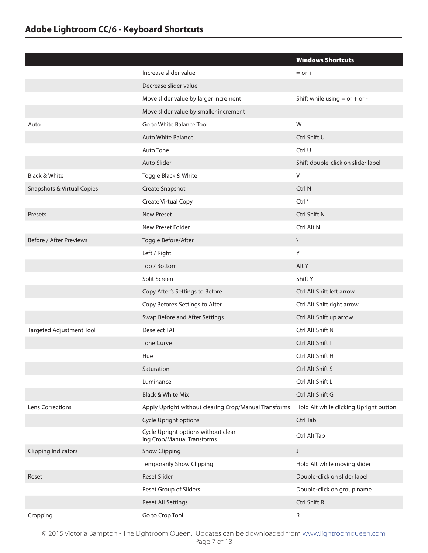|                            |                                                                    | <b>Windows Shortcuts</b>               |
|----------------------------|--------------------------------------------------------------------|----------------------------------------|
|                            | Increase slider value                                              | $=$ or $+$                             |
|                            | Decrease slider value                                              |                                        |
|                            | Move slider value by larger increment                              | Shift while using $=$ or $+$ or $-$    |
|                            | Move slider value by smaller increment                             |                                        |
| Auto                       | Go to White Balance Tool                                           | W                                      |
|                            | Auto White Balance                                                 | Ctrl Shift U                           |
|                            | Auto Tone                                                          | Ctrl U                                 |
|                            | Auto Slider                                                        | Shift double-click on slider label     |
| <b>Black &amp; White</b>   | Toggle Black & White                                               | $\vee$                                 |
| Snapshots & Virtual Copies | Create Snapshot                                                    | Ctrl N                                 |
|                            | Create Virtual Copy                                                | Ctrl'                                  |
| Presets                    | <b>New Preset</b>                                                  | Ctrl Shift N                           |
|                            | New Preset Folder                                                  | Ctrl Alt N                             |
| Before / After Previews    | Toggle Before/After                                                | $\setminus$                            |
|                            | Left / Right                                                       | Y                                      |
|                            | Top / Bottom                                                       | Alt Y                                  |
|                            | Split Screen                                                       | Shift Y                                |
|                            | Copy After's Settings to Before                                    | Ctrl Alt Shift left arrow              |
|                            | Copy Before's Settings to After                                    | Ctrl Alt Shift right arrow             |
|                            | Swap Before and After Settings                                     | Ctrl Alt Shift up arrow                |
| Targeted Adjustment Tool   | <b>Deselect TAT</b>                                                | Ctrl Alt Shift N                       |
|                            | <b>Tone Curve</b>                                                  | Ctrl Alt Shift T                       |
|                            | Hue                                                                | Ctrl Alt Shift H                       |
|                            | Saturation                                                         | Ctrl Alt Shift S                       |
|                            | Luminance                                                          | Ctrl Alt Shift L                       |
|                            | <b>Black &amp; White Mix</b>                                       | Ctrl Alt Shift G                       |
| Lens Corrections           | Apply Upright without clearing Crop/Manual Transforms              | Hold Alt while clicking Upright button |
|                            | Cycle Upright options                                              | Ctrl Tab                               |
|                            | Cycle Upright options without clear-<br>ing Crop/Manual Transforms | Ctrl Alt Tab                           |
| <b>Clipping Indicators</b> | Show Clipping                                                      | J                                      |
|                            | <b>Temporarily Show Clipping</b>                                   | Hold Alt while moving slider           |
| Reset                      | <b>Reset Slider</b>                                                | Double-click on slider label           |
|                            | Reset Group of Sliders                                             | Double-click on group name             |
|                            | Reset All Settings                                                 | Ctrl Shift R                           |
| Cropping                   | Go to Crop Tool                                                    | R                                      |

© 2015 Victoria Bampton - The Lightroom Queen. Updates can be downloaded from [www.lightroomqueen.com](http://www.lightroomqueen.com/) Page 7 of 13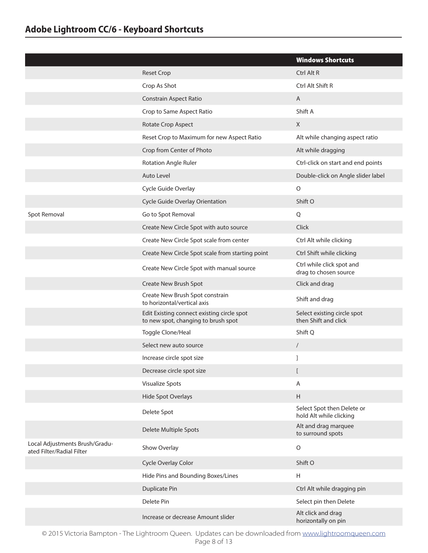|                                                             |                                                                                   | <b>Windows Shortcuts</b>                              |
|-------------------------------------------------------------|-----------------------------------------------------------------------------------|-------------------------------------------------------|
|                                                             | <b>Reset Crop</b>                                                                 | Ctrl Alt R                                            |
|                                                             | Crop As Shot                                                                      | Ctrl Alt Shift R                                      |
|                                                             | <b>Constrain Aspect Ratio</b>                                                     | A                                                     |
|                                                             | Crop to Same Aspect Ratio                                                         | Shift A                                               |
|                                                             | Rotate Crop Aspect                                                                | X                                                     |
|                                                             | Reset Crop to Maximum for new Aspect Ratio                                        | Alt while changing aspect ratio                       |
|                                                             | Crop from Center of Photo                                                         | Alt while dragging                                    |
|                                                             | <b>Rotation Angle Ruler</b>                                                       | Ctrl-click on start and end points                    |
|                                                             | Auto Level                                                                        | Double-click on Angle slider label                    |
|                                                             | Cycle Guide Overlay                                                               | $\circ$                                               |
|                                                             | Cycle Guide Overlay Orientation                                                   | Shift O                                               |
| Spot Removal                                                | Go to Spot Removal                                                                | Q                                                     |
|                                                             | Create New Circle Spot with auto source                                           | Click                                                 |
|                                                             | Create New Circle Spot scale from center                                          | Ctrl Alt while clicking                               |
|                                                             | Create New Circle Spot scale from starting point                                  | Ctrl Shift while clicking                             |
|                                                             | Create New Circle Spot with manual source                                         | Ctrl while click spot and<br>drag to chosen source    |
|                                                             | Create New Brush Spot                                                             | Click and drag                                        |
|                                                             | Create New Brush Spot constrain<br>to horizontal/vertical axis                    | Shift and drag                                        |
|                                                             | Edit Existing connect existing circle spot<br>to new spot, changing to brush spot | Select existing circle spot<br>then Shift and click   |
|                                                             | Toggle Clone/Heal                                                                 | Shift Q                                               |
|                                                             | Select new auto source                                                            | $\sqrt{2}$                                            |
|                                                             | Increase circle spot size                                                         | 1                                                     |
|                                                             | Decrease circle spot size                                                         | L                                                     |
|                                                             | <b>Visualize Spots</b>                                                            | Α                                                     |
|                                                             | Hide Spot Overlays                                                                | H                                                     |
|                                                             | Delete Spot                                                                       | Select Spot then Delete or<br>hold Alt while clicking |
|                                                             | Delete Multiple Spots                                                             | Alt and drag marquee<br>to surround spots             |
| Local Adjustments Brush/Gradu-<br>ated Filter/Radial Filter | Show Overlay                                                                      | $\circ$                                               |
|                                                             | Cycle Overlay Color                                                               | Shift O                                               |
|                                                             | Hide Pins and Bounding Boxes/Lines                                                | н                                                     |
|                                                             | <b>Duplicate Pin</b>                                                              | Ctrl Alt while dragging pin                           |
|                                                             | Delete Pin                                                                        | Select pin then Delete                                |
|                                                             | Increase or decrease Amount slider                                                | Alt click and drag<br>horizontally on pin             |

© 2015 Victoria Bampton - The Lightroom Queen. Updates can be downloaded from [www.lightroomqueen.com](http://www.lightroomqueen.com/) Page 8 of 13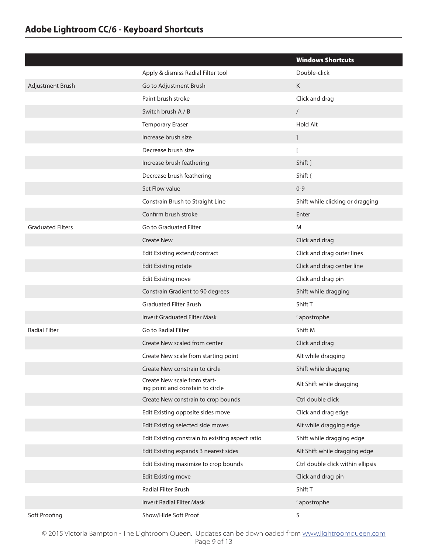|                          |                                                                  | <b>Windows Shortcuts</b>          |
|--------------------------|------------------------------------------------------------------|-----------------------------------|
|                          | Apply & dismiss Radial Filter tool                               | Double-click                      |
| Adjustment Brush         | Go to Adjustment Brush                                           | K                                 |
|                          | Paint brush stroke                                               | Click and drag                    |
|                          | Switch brush A / B                                               | $\sqrt{2}$                        |
|                          | <b>Temporary Eraser</b>                                          | <b>Hold Alt</b>                   |
|                          | Increase brush size                                              | J.                                |
|                          | Decrease brush size                                              | $\overline{a}$                    |
|                          | Increase brush feathering                                        | Shift ]                           |
|                          | Decrease brush feathering                                        | Shift {                           |
|                          | Set Flow value                                                   | $0 - 9$                           |
|                          | Constrain Brush to Straight Line                                 | Shift while clicking or dragging  |
|                          | Confirm brush stroke                                             | Enter                             |
| <b>Graduated Filters</b> | Go to Graduated Filter                                           | M                                 |
|                          | <b>Create New</b>                                                | Click and drag                    |
|                          | Edit Existing extend/contract                                    | Click and drag outer lines        |
|                          | <b>Edit Existing rotate</b>                                      | Click and drag center line        |
|                          | <b>Edit Existing move</b>                                        | Click and drag pin                |
|                          | Constrain Gradient to 90 degrees                                 | Shift while dragging              |
|                          | <b>Graduated Filter Brush</b>                                    | Shift T                           |
|                          | <b>Invert Graduated Filter Mask</b>                              | ' apostrophe                      |
| <b>Radial Filter</b>     | Go to Radial Filter                                              | Shift M                           |
|                          | Create New scaled from center                                    | Click and drag                    |
|                          | Create New scale from starting point                             | Alt while dragging                |
|                          | Create New constrain to circle                                   | Shift while dragging              |
|                          | Create New scale from start-<br>ing point and constain to circle | Alt Shift while dragging          |
|                          | Create New constrain to crop bounds                              | Ctrl double click                 |
|                          | Edit Existing opposite sides move                                | Click and drag edge               |
|                          | Edit Existing selected side moves                                | Alt while dragging edge           |
|                          | Edit Existing constrain to existing aspect ratio                 | Shift while dragging edge         |
|                          | Edit Existing expands 3 nearest sides                            | Alt Shift while dragging edge     |
|                          | Edit Existing maximize to crop bounds                            | Ctrl double click within ellipsis |
|                          | <b>Edit Existing move</b>                                        | Click and drag pin                |
|                          | Radial Filter Brush                                              | Shift T                           |
|                          | Invert Radial Filter Mask                                        | ' apostrophe                      |
| Soft Proofing            | Show/Hide Soft Proof                                             | $\sf S$                           |

© 2015 Victoria Bampton - The Lightroom Queen. Updates can be downloaded from [www.lightroomqueen.com](http://www.lightroomqueen.com/) Page 9 of 13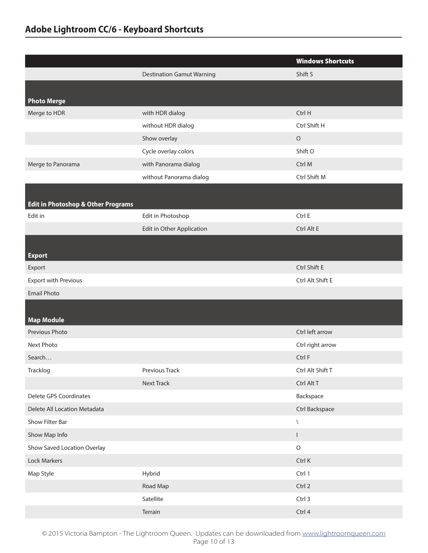|                                               |                                  | <b>Windows Shortcuts</b> |
|-----------------------------------------------|----------------------------------|--------------------------|
|                                               | <b>Destination Gamut Warning</b> | Shift S                  |
|                                               |                                  |                          |
| <b>Photo Merge</b>                            |                                  |                          |
| Merge to HDR                                  | with HDR dialog                  | Ctrl H                   |
|                                               | without HDR dialog               | Ctrl Shift H             |
|                                               | Show overlay                     | $\circ$                  |
|                                               | Cycle overlay colors             | Shift O                  |
| Merge to Panorama                             | with Panorama dialog             | Ctrl M                   |
|                                               | without Panorama dialog          | Ctrl Shift M             |
|                                               |                                  |                          |
| <b>Edit in Photoshop &amp; Other Programs</b> |                                  |                          |
| Edit in                                       | Edit in Photoshop                | Ctrl E                   |
|                                               | Edit in Other Application        | Ctrl Alt E               |
|                                               |                                  |                          |
| <b>Export</b>                                 |                                  |                          |
| Export                                        |                                  | Ctrl Shift E             |
| <b>Export with Previous</b>                   |                                  | Ctrl Alt Shift E         |
| <b>Email Photo</b>                            |                                  |                          |
|                                               |                                  |                          |
| <b>Map Module</b>                             |                                  |                          |
| Previous Photo                                |                                  | Ctrl left arrow          |
| Next Photo                                    |                                  | Ctrl right arrow         |
| Search                                        |                                  | Ctrl F                   |
| Tracklog                                      | Previous Track                   | Ctrl Alt Shift T         |
|                                               | <b>Next Track</b>                | Ctrl Alt T               |
| Delete GPS Coordinates                        |                                  | Backspace                |
| Delete All Location Metadata                  |                                  | Ctrl Backspace           |
| Show Filter Bar                               |                                  | $\setminus$              |
| Show Map Info                                 |                                  | L                        |
| Show Saved Location Overlay                   |                                  | $\hbox{O}$               |
| Lock Markers                                  |                                  | Ctrl K                   |
| Map Style                                     | Hybrid                           | Ctrl 1                   |
|                                               | Road Map                         | Ctrl 2                   |
|                                               | Satellite                        | Ctrl 3                   |
|                                               | Terrain                          | Ctrl 4                   |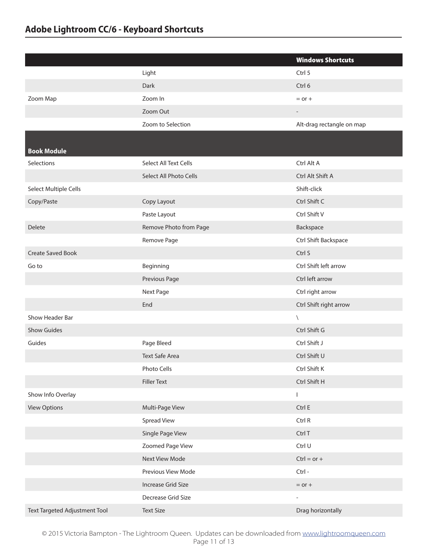|                               |                        | <b>Windows Shortcuts</b>  |
|-------------------------------|------------------------|---------------------------|
|                               | Light                  | Ctrl 5                    |
|                               | Dark                   | Ctrl 6                    |
| Zoom Map                      | Zoom In                | $=$ or $+$                |
|                               | Zoom Out               | $\overline{\phantom{0}}$  |
|                               | Zoom to Selection      | Alt-drag rectangle on map |
| <b>Book Module</b>            |                        |                           |
| Selections                    | Select All Text Cells  | Ctrl Alt A                |
|                               | Select All Photo Cells | Ctrl Alt Shift A          |
| Select Multiple Cells         |                        | Shift-click               |
| Copy/Paste                    | Copy Layout            | Ctrl Shift C              |
|                               | Paste Layout           | Ctrl Shift V              |
| <b>Delete</b>                 | Remove Photo from Page | Backspace                 |
|                               | Remove Page            | Ctrl Shift Backspace      |
| <b>Create Saved Book</b>      |                        | Ctrl S                    |
| Go to                         | Beginning              | Ctrl Shift left arrow     |
|                               | Previous Page          | Ctrl left arrow           |
|                               | Next Page              | Ctrl right arrow          |
|                               | End                    | Ctrl Shift right arrow    |
| Show Header Bar               |                        | $\setminus$               |
| <b>Show Guides</b>            |                        | Ctrl Shift G              |
| Guides                        | Page Bleed             | Ctrl Shift J              |
|                               | <b>Text Safe Area</b>  | Ctrl Shift U              |
|                               | Photo Cells            | Ctrl Shift K              |
|                               | <b>Filler Text</b>     | Ctrl Shift H              |
| Show Info Overlay             |                        | L                         |
| <b>View Options</b>           | Multi-Page View        | Ctrl E                    |
|                               | <b>Spread View</b>     | Ctrl R                    |
|                               | Single Page View       | Ctrl T                    |
|                               | Zoomed Page View       | Ctrl U                    |
|                               | Next View Mode         | $Ctrl = or +$             |
|                               | Previous View Mode     | Ctrl-                     |
|                               | Increase Grid Size     | $=$ or $+$                |
|                               | Decrease Grid Size     | $\overline{\phantom{0}}$  |
| Text Targeted Adjustment Tool | <b>Text Size</b>       | Drag horizontally         |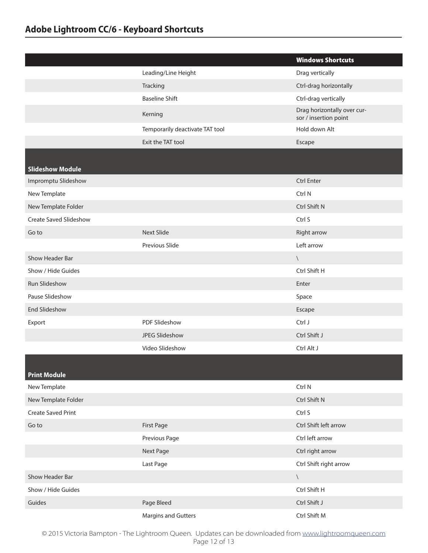|                               |                                 | <b>Windows Shortcuts</b>                             |
|-------------------------------|---------------------------------|------------------------------------------------------|
|                               | Leading/Line Height             | Drag vertically                                      |
|                               | Tracking                        | Ctrl-drag horizontally                               |
|                               | <b>Baseline Shift</b>           | Ctrl-drag vertically                                 |
|                               | Kerning                         | Drag horizontally over cur-<br>sor / insertion point |
|                               | Temporarily deactivate TAT tool | Hold down Alt                                        |
|                               | Exit the TAT tool               | Escape                                               |
|                               |                                 |                                                      |
| <b>Slideshow Module</b>       |                                 |                                                      |
| Impromptu Slideshow           |                                 | <b>Ctrl Enter</b>                                    |
| New Template                  |                                 | Ctrl N                                               |
| New Template Folder           |                                 | Ctrl Shift N                                         |
| <b>Create Saved Slideshow</b> |                                 | Ctrl S                                               |
| Go to                         | <b>Next Slide</b>               | Right arrow                                          |
|                               | Previous Slide                  | Left arrow                                           |
| Show Header Bar               |                                 | $\setminus$                                          |
| Show / Hide Guides            |                                 | Ctrl Shift H                                         |
| Run Slideshow                 |                                 | Enter                                                |
| Pause Slideshow               |                                 | Space                                                |
| <b>End Slideshow</b>          |                                 | Escape                                               |
| Export                        | PDF Slideshow                   | Ctrl J                                               |
|                               | JPEG Slideshow                  | Ctrl Shift J                                         |
|                               | Video Slideshow                 | Ctrl Alt J                                           |
|                               |                                 |                                                      |
| <b>Print Module</b>           |                                 |                                                      |
| New Template                  |                                 | Ctrl N                                               |
| New Template Folder           |                                 | Ctrl Shift N                                         |
| <b>Create Saved Print</b>     |                                 | Ctrl S                                               |
| Go to                         | First Page                      | Ctrl Shift left arrow                                |
|                               | Previous Page                   | Ctrl left arrow                                      |
|                               | Next Page                       | Ctrl right arrow                                     |
|                               | Last Page                       | Ctrl Shift right arrow                               |
| Show Header Bar               |                                 | $\backslash$                                         |
| Show / Hide Guides            |                                 | Ctrl Shift H                                         |
| Guides                        | Page Bleed                      | Ctrl Shift J                                         |
|                               | Margins and Gutters             | Ctrl Shift M                                         |

© 2015 Victoria Bampton - The Lightroom Queen. Updates can be downloaded from [www.lightroomqueen.com](http://www.lightroomqueen.com/) Page 12 of 13